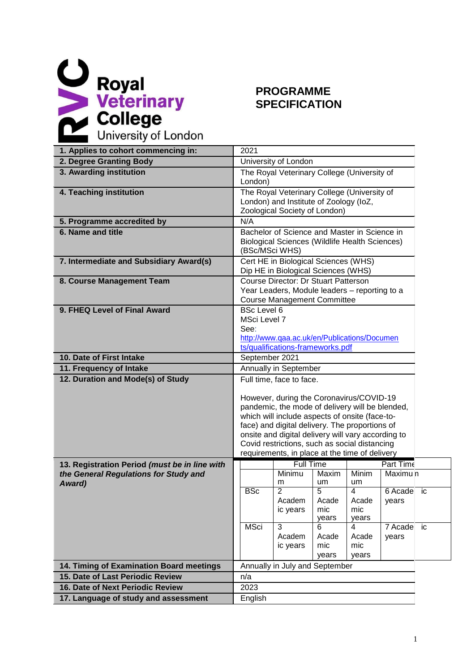

## **SPECIFICATION**

| 1. Applies to cohort commencing in:             | 2021                                                                                                                                                                                                                                                                                                                                                                                 |  |  |  |
|-------------------------------------------------|--------------------------------------------------------------------------------------------------------------------------------------------------------------------------------------------------------------------------------------------------------------------------------------------------------------------------------------------------------------------------------------|--|--|--|
| 2. Degree Granting Body                         | University of London                                                                                                                                                                                                                                                                                                                                                                 |  |  |  |
| 3. Awarding institution                         | The Royal Veterinary College (University of<br>London)                                                                                                                                                                                                                                                                                                                               |  |  |  |
| 4. Teaching institution                         | The Royal Veterinary College (University of<br>London) and Institute of Zoology (IoZ,<br>Zoological Society of London)                                                                                                                                                                                                                                                               |  |  |  |
| 5. Programme accredited by                      | N/A                                                                                                                                                                                                                                                                                                                                                                                  |  |  |  |
| 6. Name and title                               | Bachelor of Science and Master in Science in<br><b>Biological Sciences (Wildlife Health Sciences)</b><br>(BSc/MSci WHS)                                                                                                                                                                                                                                                              |  |  |  |
| 7. Intermediate and Subsidiary Award(s)         | Cert HE in Biological Sciences (WHS)<br>Dip HE in Biological Sciences (WHS)                                                                                                                                                                                                                                                                                                          |  |  |  |
| 8. Course Management Team                       | Course Director: Dr Stuart Patterson<br>Year Leaders, Module leaders - reporting to a<br><b>Course Management Committee</b>                                                                                                                                                                                                                                                          |  |  |  |
| 9. FHEQ Level of Final Award                    | <b>BSc Level 6</b><br>MSci Level 7<br>See:<br>http://www.qaa.ac.uk/en/Publications/Documen<br>ts/qualifications-frameworks.pdf                                                                                                                                                                                                                                                       |  |  |  |
| 10. Date of First Intake                        | September 2021                                                                                                                                                                                                                                                                                                                                                                       |  |  |  |
| 11. Frequency of Intake                         | Annually in September                                                                                                                                                                                                                                                                                                                                                                |  |  |  |
| 12. Duration and Mode(s) of Study               | Full time, face to face.<br>However, during the Coronavirus/COVID-19<br>pandemic, the mode of delivery will be blended,<br>which will include aspects of onsite (face-to-<br>face) and digital delivery. The proportions of<br>onsite and digital delivery will vary according to<br>Covid restrictions, such as social distancing<br>requirements, in place at the time of delivery |  |  |  |
| 13. Registration Period (must be in line with   | <b>Full Time</b><br>Part Time                                                                                                                                                                                                                                                                                                                                                        |  |  |  |
| the General Regulations for Study and<br>Award) | Minimu<br>Minim<br>Maxim<br>Maximu <sub>n</sub><br>m<br>um<br>um                                                                                                                                                                                                                                                                                                                     |  |  |  |
|                                                 | <b>BSc</b><br>$\overline{2}$<br>$\overline{5}$<br>$\overline{4}$<br>6 Acade ic<br>Academ<br>Acade<br>Acade<br>years<br>mic<br>mic<br>ic years<br>years<br>years                                                                                                                                                                                                                      |  |  |  |
|                                                 | <b>MSci</b><br>3<br>6<br>4<br>7 Acade<br>ic<br>Academ<br>Acade<br>Acade<br>years<br>ic years<br>mic<br>mic<br>years<br>years                                                                                                                                                                                                                                                         |  |  |  |
| 14. Timing of Examination Board meetings        | Annually in July and September                                                                                                                                                                                                                                                                                                                                                       |  |  |  |
| 15. Date of Last Periodic Review                | n/a                                                                                                                                                                                                                                                                                                                                                                                  |  |  |  |
| 16. Date of Next Periodic Review                | 2023                                                                                                                                                                                                                                                                                                                                                                                 |  |  |  |
| 17. Language of study and assessment            | English                                                                                                                                                                                                                                                                                                                                                                              |  |  |  |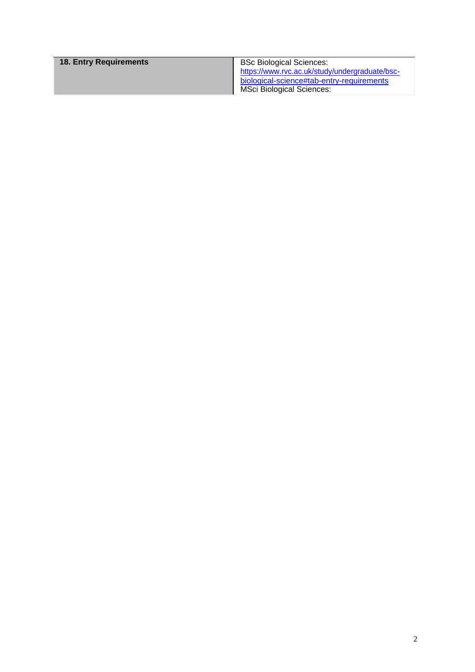| 18. Entry Requirements | <b>BSc Biological Sciences:</b><br>https://www.rvc.ac.uk/study/undergraduate/bsc- |
|------------------------|-----------------------------------------------------------------------------------|
|                        | biological-science#tab-entry-requirements<br>MSci Biological Sciences:            |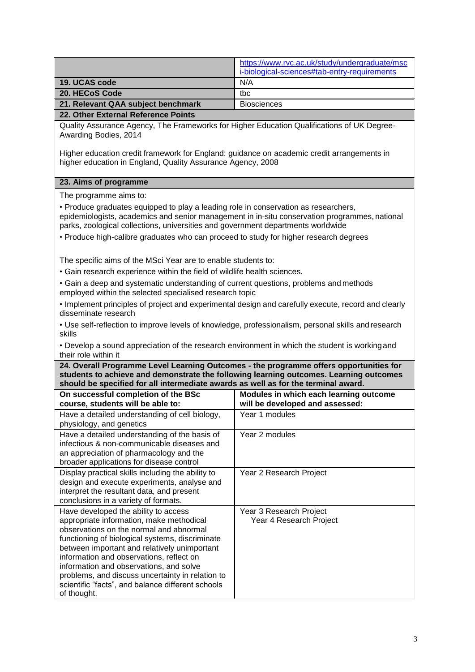|                                    | https://www.rvc.ac.uk/study/undergraduate/msc |  |
|------------------------------------|-----------------------------------------------|--|
|                                    | i-biological-sciences#tab-entry-requirements  |  |
| 19. UCAS code                      | N/A                                           |  |
| 20. HECoS Code                     | tbc                                           |  |
| 21. Relevant QAA subject benchmark | <b>Biosciences</b>                            |  |
| _____                              |                                               |  |

## **22. Other External Reference Points**

Quality Assurance Agency, The Frameworks for Higher Education Qualifications of UK Degree-Awarding Bodies, 2014

Higher education credit framework for England: guidance on academic credit arrangements in higher education in England, Quality Assurance Agency, 2008

## **23. Aims of programme**

The programme aims to:

• Produce graduates equipped to play a leading role in conservation as researchers, epidemiologists, academics and senior management in in-situ conservation programmes, national parks, zoological collections, universities and government departments worldwide

• Produce high-calibre graduates who can proceed to study for higher research degrees

The specific aims of the MSci Year are to enable students to:

- Gain research experience within the field of wildlife health sciences.
- Gain a deep and systematic understanding of current questions, problems and methods employed within the selected specialised research topic
- Implement principles of project and experimental design and carefully execute, record and clearly disseminate research

• Use self-reflection to improve levels of knowledge, professionalism, personal skills and research skills

• Develop a sound appreciation of the research environment in which the student is workingand their role within it

**24. Overall Programme Level Learning Outcomes - the programme offers opportunities for students to achieve and demonstrate the following learning outcomes. Learning outcomes should be specified for all intermediate awards as well as for the terminal award.**

| On successful completion of the BSc<br>course, students will be able to:                                                                                                                                                                                                                                                                                                                                                                      | Modules in which each learning outcome<br>will be developed and assessed: |
|-----------------------------------------------------------------------------------------------------------------------------------------------------------------------------------------------------------------------------------------------------------------------------------------------------------------------------------------------------------------------------------------------------------------------------------------------|---------------------------------------------------------------------------|
| Have a detailed understanding of cell biology,<br>physiology, and genetics                                                                                                                                                                                                                                                                                                                                                                    | Year 1 modules                                                            |
| Have a detailed understanding of the basis of<br>infectious & non-communicable diseases and<br>an appreciation of pharmacology and the<br>broader applications for disease control                                                                                                                                                                                                                                                            | Year 2 modules                                                            |
| Display practical skills including the ability to<br>design and execute experiments, analyse and<br>interpret the resultant data, and present<br>conclusions in a variety of formats.                                                                                                                                                                                                                                                         | Year 2 Research Project                                                   |
| Have developed the ability to access<br>appropriate information, make methodical<br>observations on the normal and abnormal<br>functioning of biological systems, discriminate<br>between important and relatively unimportant<br>information and observations, reflect on<br>information and observations, and solve<br>problems, and discuss uncertainty in relation to<br>scientific "facts", and balance different schools<br>of thought. | Year 3 Research Project<br>Year 4 Research Project                        |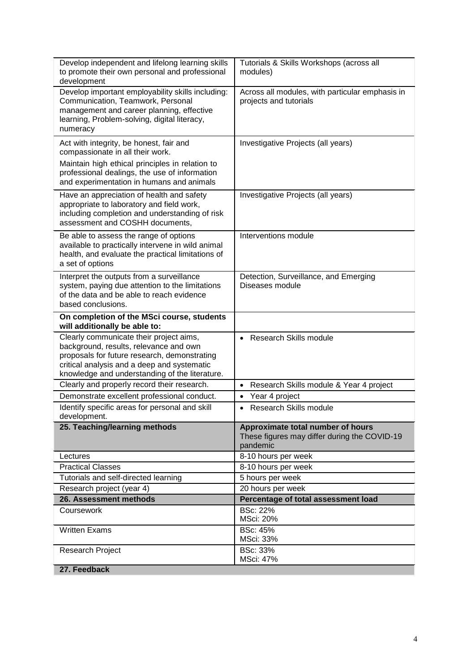| Develop independent and lifelong learning skills<br>to promote their own personal and professional<br>development                                                                                                                  | Tutorials & Skills Workshops (across all<br>modules)                                          |  |  |
|------------------------------------------------------------------------------------------------------------------------------------------------------------------------------------------------------------------------------------|-----------------------------------------------------------------------------------------------|--|--|
| Develop important employability skills including:<br>Communication, Teamwork, Personal<br>management and career planning, effective<br>learning, Problem-solving, digital literacy,<br>numeracy                                    | Across all modules, with particular emphasis in<br>projects and tutorials                     |  |  |
| Act with integrity, be honest, fair and<br>compassionate in all their work.                                                                                                                                                        | Investigative Projects (all years)                                                            |  |  |
| Maintain high ethical principles in relation to<br>professional dealings, the use of information<br>and experimentation in humans and animals                                                                                      |                                                                                               |  |  |
| Have an appreciation of health and safety<br>appropriate to laboratory and field work,<br>including completion and understanding of risk<br>assessment and COSHH documents,                                                        | Investigative Projects (all years)                                                            |  |  |
| Be able to assess the range of options<br>available to practically intervene in wild animal<br>health, and evaluate the practical limitations of<br>a set of options                                                               | Interventions module                                                                          |  |  |
| Interpret the outputs from a surveillance<br>system, paying due attention to the limitations<br>of the data and be able to reach evidence<br>based conclusions.                                                                    | Detection, Surveillance, and Emerging<br>Diseases module                                      |  |  |
| On completion of the MSci course, students<br>will additionally be able to:                                                                                                                                                        |                                                                                               |  |  |
| Clearly communicate their project aims,<br>background, results, relevance and own<br>proposals for future research, demonstrating<br>critical analysis and a deep and systematic<br>knowledge and understanding of the literature. | <b>Research Skills module</b>                                                                 |  |  |
| Clearly and properly record their research.                                                                                                                                                                                        | Research Skills module & Year 4 project<br>$\bullet$                                          |  |  |
| Demonstrate excellent professional conduct.                                                                                                                                                                                        | Year 4 project<br>$\bullet$                                                                   |  |  |
| Identify specific areas for personal and skill<br>development.                                                                                                                                                                     | <b>Research Skills module</b><br>$\bullet$                                                    |  |  |
| 25. Teaching/learning methods                                                                                                                                                                                                      | Approximate total number of hours<br>These figures may differ during the COVID-19<br>pandemic |  |  |
| Lectures                                                                                                                                                                                                                           | 8-10 hours per week                                                                           |  |  |
| <b>Practical Classes</b>                                                                                                                                                                                                           | 8-10 hours per week                                                                           |  |  |
| Tutorials and self-directed learning                                                                                                                                                                                               | 5 hours per week                                                                              |  |  |
| Research project (year 4)                                                                                                                                                                                                          | 20 hours per week                                                                             |  |  |
| 26. Assessment methods                                                                                                                                                                                                             | Percentage of total assessment load                                                           |  |  |
| Coursework                                                                                                                                                                                                                         |                                                                                               |  |  |
|                                                                                                                                                                                                                                    | <b>BSc: 22%</b><br>MSci: 20%                                                                  |  |  |
| <b>Written Exams</b>                                                                                                                                                                                                               | <b>BSc: 45%</b><br>MSci: 33%                                                                  |  |  |
| Research Project<br>27. Feedback                                                                                                                                                                                                   | <b>BSc: 33%</b><br><b>MSci: 47%</b>                                                           |  |  |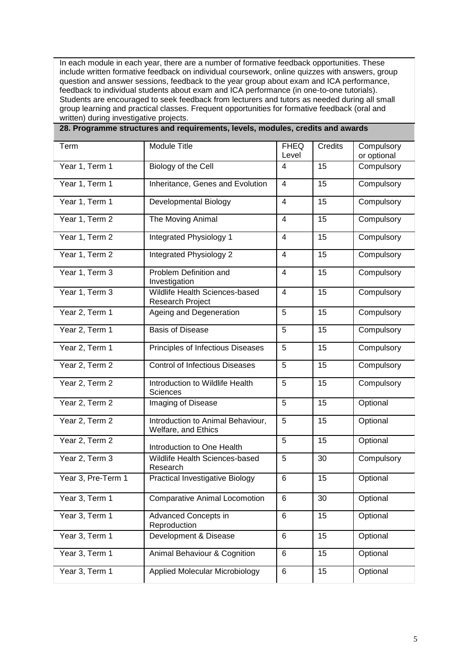In each module in each year, there are a number of formative feedback opportunities. These include written formative feedback on individual coursework, online quizzes with answers, group question and answer sessions, feedback to the year group about exam and ICA performance, feedback to individual students about exam and ICA performance (in one-to-one tutorials). Students are encouraged to seek feedback from lecturers and tutors as needed during all small group learning and practical classes. Frequent opportunities for formative feedback (oral and written) during investigative projects.

| Term               | Module Title                                              | <b>FHEQ</b><br>Level | Credits | Compulsory<br>or optional |
|--------------------|-----------------------------------------------------------|----------------------|---------|---------------------------|
| Year 1, Term 1     | Biology of the Cell                                       | 4                    | 15      | Compulsory                |
| Year 1, Term 1     | Inheritance, Genes and Evolution                          | 4                    | 15      | Compulsory                |
| Year 1, Term 1     | Developmental Biology                                     | 4                    | 15      | Compulsory                |
| Year 1, Term 2     | The Moving Animal                                         | $\overline{4}$       | 15      | Compulsory                |
| Year 1, Term 2     | Integrated Physiology 1                                   | 4                    | 15      | Compulsory                |
| Year 1, Term 2     | Integrated Physiology 2                                   | 4                    | 15      | Compulsory                |
| Year 1, Term 3     | Problem Definition and<br>Investigation                   | 4                    | 15      | Compulsory                |
| Year 1, Term 3     | Wildlife Health Sciences-based<br><b>Research Project</b> | 4                    | 15      | Compulsory                |
| Year 2, Term 1     | Ageing and Degeneration                                   | 5                    | 15      | Compulsory                |
| Year 2, Term 1     | <b>Basis of Disease</b>                                   | 5                    | 15      | Compulsory                |
| Year 2, Term 1     | Principles of Infectious Diseases                         | 5                    | 15      | Compulsory                |
| Year 2, Term 2     | <b>Control of Infectious Diseases</b>                     | 5                    | 15      | Compulsory                |
| Year 2, Term 2     | Introduction to Wildlife Health<br>Sciences               | 5                    | 15      | Compulsory                |
| Year 2, Term 2     | Imaging of Disease                                        | 5                    | 15      | Optional                  |
| Year 2, Term 2     | Introduction to Animal Behaviour,<br>Welfare, and Ethics  | 5                    | 15      | Optional                  |
| Year 2, Term 2     | Introduction to One Health                                | 5                    | 15      | Optional                  |
| Year 2, Term 3     | Wildlife Health Sciences-based<br>Research                | 5                    | 30      | Compulsory                |
| Year 3, Pre-Term 1 | Practical Investigative Biology                           | 6                    | 15      | Optional                  |
| Year 3, Term 1     | <b>Comparative Animal Locomotion</b>                      | 6                    | 30      | Optional                  |
| Year 3, Term 1     | Advanced Concepts in<br>Reproduction                      | 6                    | 15      | Optional                  |
| Year 3, Term 1     | Development & Disease                                     | 6                    | 15      | Optional                  |
| Year 3, Term 1     | Animal Behaviour & Cognition                              | 6                    | 15      | Optional                  |
| Year 3, Term 1     | <b>Applied Molecular Microbiology</b>                     | 6                    | 15      | Optional                  |

**28. Programme structures and requirements, levels, modules, credits and awards**